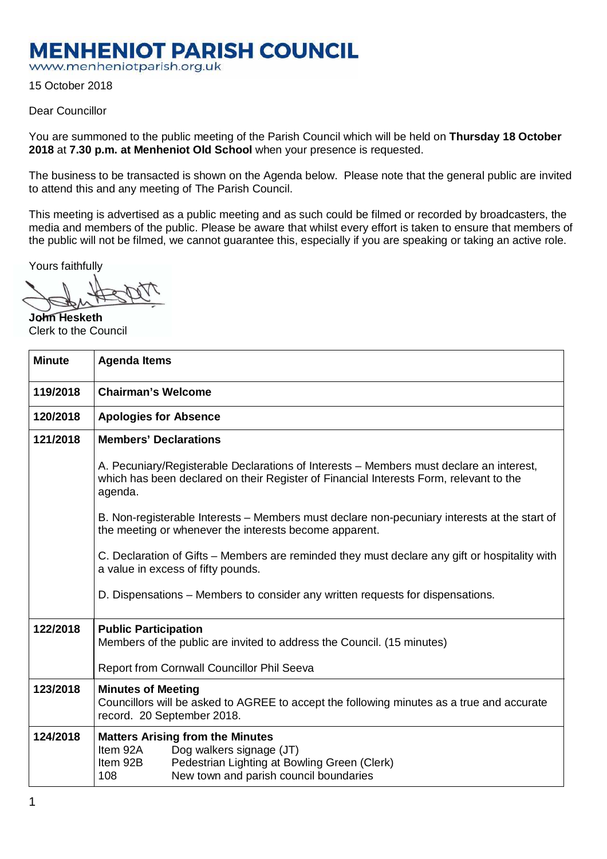## **MENHENIOT PARISH COUNCIL**

www.menheniotparish.org.uk

15 October 2018

## Dear Councillor

You are summoned to the public meeting of the Parish Council which will be held on **Thursday 18 October 2018** at **7.30 p.m. at Menheniot Old School** when your presence is requested.

The business to be transacted is shown on the Agenda below. Please note that the general public are invited to attend this and any meeting of The Parish Council.

This meeting is advertised as a public meeting and as such could be filmed or recorded by broadcasters, the media and members of the public. Please be aware that whilst every effort is taken to ensure that members of the public will not be filmed, we cannot guarantee this, especially if you are speaking or taking an active role.

Yours faithfully

**John Hesketh**  Clerk to the Council

| <b>Minute</b> | <b>Agenda Items</b>                                                                                                                                                                          |  |  |  |  |  |  |
|---------------|----------------------------------------------------------------------------------------------------------------------------------------------------------------------------------------------|--|--|--|--|--|--|
| 119/2018      | <b>Chairman's Welcome</b>                                                                                                                                                                    |  |  |  |  |  |  |
| 120/2018      | <b>Apologies for Absence</b>                                                                                                                                                                 |  |  |  |  |  |  |
| 121/2018      | <b>Members' Declarations</b>                                                                                                                                                                 |  |  |  |  |  |  |
|               | A. Pecuniary/Registerable Declarations of Interests – Members must declare an interest,<br>which has been declared on their Register of Financial Interests Form, relevant to the<br>agenda. |  |  |  |  |  |  |
|               | B. Non-registerable Interests – Members must declare non-pecuniary interests at the start of<br>the meeting or whenever the interests become apparent.                                       |  |  |  |  |  |  |
|               | C. Declaration of Gifts – Members are reminded they must declare any gift or hospitality with<br>a value in excess of fifty pounds.                                                          |  |  |  |  |  |  |
|               | D. Dispensations – Members to consider any written requests for dispensations.                                                                                                               |  |  |  |  |  |  |
| 122/2018      | <b>Public Participation</b><br>Members of the public are invited to address the Council. (15 minutes)                                                                                        |  |  |  |  |  |  |
|               | Report from Cornwall Councillor Phil Seeva                                                                                                                                                   |  |  |  |  |  |  |
| 123/2018      | <b>Minutes of Meeting</b><br>Councillors will be asked to AGREE to accept the following minutes as a true and accurate<br>record. 20 September 2018.                                         |  |  |  |  |  |  |
| 124/2018      | <b>Matters Arising from the Minutes</b><br>Item 92A<br>Dog walkers signage (JT)<br>Item 92B<br>Pedestrian Lighting at Bowling Green (Clerk)<br>108<br>New town and parish council boundaries |  |  |  |  |  |  |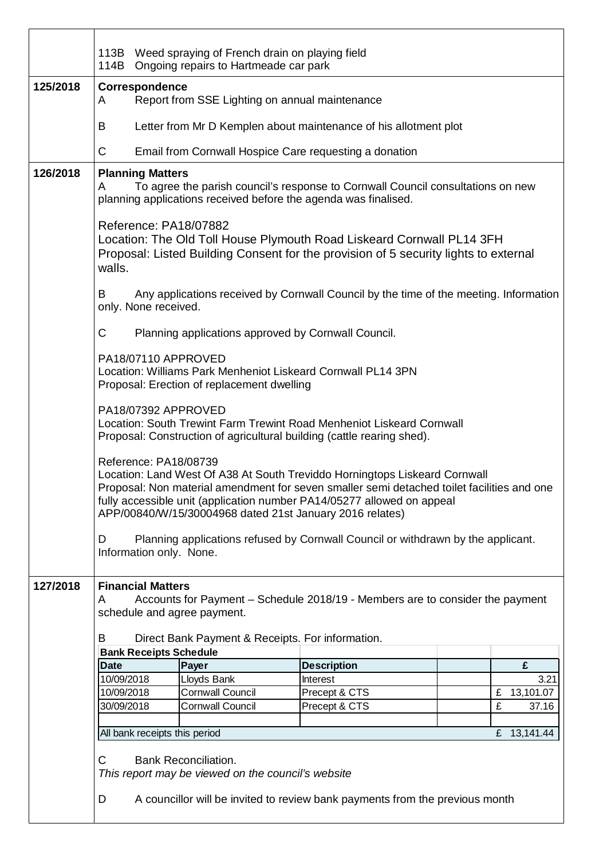|          | 113B Weed spraying of French drain on playing field<br>114B Ongoing repairs to Hartmeade car park                                                                                                                                                                                                                                                                                                                                                           |                               |                                                        |  |                                  |                                                                  |  |                        |
|----------|-------------------------------------------------------------------------------------------------------------------------------------------------------------------------------------------------------------------------------------------------------------------------------------------------------------------------------------------------------------------------------------------------------------------------------------------------------------|-------------------------------|--------------------------------------------------------|--|----------------------------------|------------------------------------------------------------------|--|------------------------|
| 125/2018 | Correspondence<br>Report from SSE Lighting on annual maintenance<br>A                                                                                                                                                                                                                                                                                                                                                                                       |                               |                                                        |  |                                  |                                                                  |  |                        |
|          | B                                                                                                                                                                                                                                                                                                                                                                                                                                                           |                               |                                                        |  |                                  | Letter from Mr D Kemplen about maintenance of his allotment plot |  |                        |
|          | С                                                                                                                                                                                                                                                                                                                                                                                                                                                           |                               | Email from Cornwall Hospice Care requesting a donation |  |                                  |                                                                  |  |                        |
| 126/2018 | <b>Planning Matters</b><br>To agree the parish council's response to Cornwall Council consultations on new<br>A<br>planning applications received before the agenda was finalised.                                                                                                                                                                                                                                                                          |                               |                                                        |  |                                  |                                                                  |  |                        |
|          | Reference: PA18/07882<br>Location: The Old Toll House Plymouth Road Liskeard Cornwall PL14 3FH<br>Proposal: Listed Building Consent for the provision of 5 security lights to external<br>walls.                                                                                                                                                                                                                                                            |                               |                                                        |  |                                  |                                                                  |  |                        |
|          | Any applications received by Cornwall Council by the time of the meeting. Information<br>B<br>only. None received.                                                                                                                                                                                                                                                                                                                                          |                               |                                                        |  |                                  |                                                                  |  |                        |
|          | C<br>Planning applications approved by Cornwall Council.                                                                                                                                                                                                                                                                                                                                                                                                    |                               |                                                        |  |                                  |                                                                  |  |                        |
|          | PA18/07110 APPROVED<br>Location: Williams Park Menheniot Liskeard Cornwall PL14 3PN<br>Proposal: Erection of replacement dwelling                                                                                                                                                                                                                                                                                                                           |                               |                                                        |  |                                  |                                                                  |  |                        |
|          | PA18/07392 APPROVED<br>Location: South Trewint Farm Trewint Road Menheniot Liskeard Cornwall<br>Proposal: Construction of agricultural building (cattle rearing shed).                                                                                                                                                                                                                                                                                      |                               |                                                        |  |                                  |                                                                  |  |                        |
|          | Reference: PA18/08739<br>Location: Land West Of A38 At South Treviddo Horningtops Liskeard Cornwall<br>Proposal: Non material amendment for seven smaller semi detached toilet facilities and one<br>fully accessible unit (application number PA14/05277 allowed on appeal<br>APP/00840/W/15/30004968 dated 21st January 2016 relates)<br>Planning applications refused by Cornwall Council or withdrawn by the applicant.<br>D<br>Information only. None. |                               |                                                        |  |                                  |                                                                  |  |                        |
|          |                                                                                                                                                                                                                                                                                                                                                                                                                                                             |                               |                                                        |  |                                  |                                                                  |  |                        |
| 127/2018 | <b>Financial Matters</b><br>Accounts for Payment – Schedule 2018/19 - Members are to consider the payment<br>A<br>schedule and agree payment.<br>В<br>Direct Bank Payment & Receipts. For information.                                                                                                                                                                                                                                                      |                               |                                                        |  |                                  |                                                                  |  |                        |
|          | <b>Bank Receipts Schedule</b>                                                                                                                                                                                                                                                                                                                                                                                                                               |                               |                                                        |  |                                  |                                                                  |  |                        |
|          | <b>Date</b>                                                                                                                                                                                                                                                                                                                                                                                                                                                 |                               | Payer                                                  |  | <b>Description</b>               |                                                                  |  | £                      |
|          | 10/09/2018<br>10/09/2018                                                                                                                                                                                                                                                                                                                                                                                                                                    |                               | Lloyds Bank<br><b>Cornwall Council</b>                 |  | <b>Interest</b><br>Precept & CTS |                                                                  |  | 3.21<br>13,101.07<br>£ |
|          | 30/09/2018                                                                                                                                                                                                                                                                                                                                                                                                                                                  |                               | <b>Cornwall Council</b>                                |  | Precept & CTS                    |                                                                  |  | £<br>37.16             |
|          |                                                                                                                                                                                                                                                                                                                                                                                                                                                             |                               |                                                        |  |                                  |                                                                  |  |                        |
|          |                                                                                                                                                                                                                                                                                                                                                                                                                                                             | All bank receipts this period |                                                        |  |                                  |                                                                  |  | £ 13,141.44            |
|          | С<br><b>Bank Reconciliation.</b><br>This report may be viewed on the council's website                                                                                                                                                                                                                                                                                                                                                                      |                               |                                                        |  |                                  |                                                                  |  |                        |
|          | A councillor will be invited to review bank payments from the previous month<br>D                                                                                                                                                                                                                                                                                                                                                                           |                               |                                                        |  |                                  |                                                                  |  |                        |